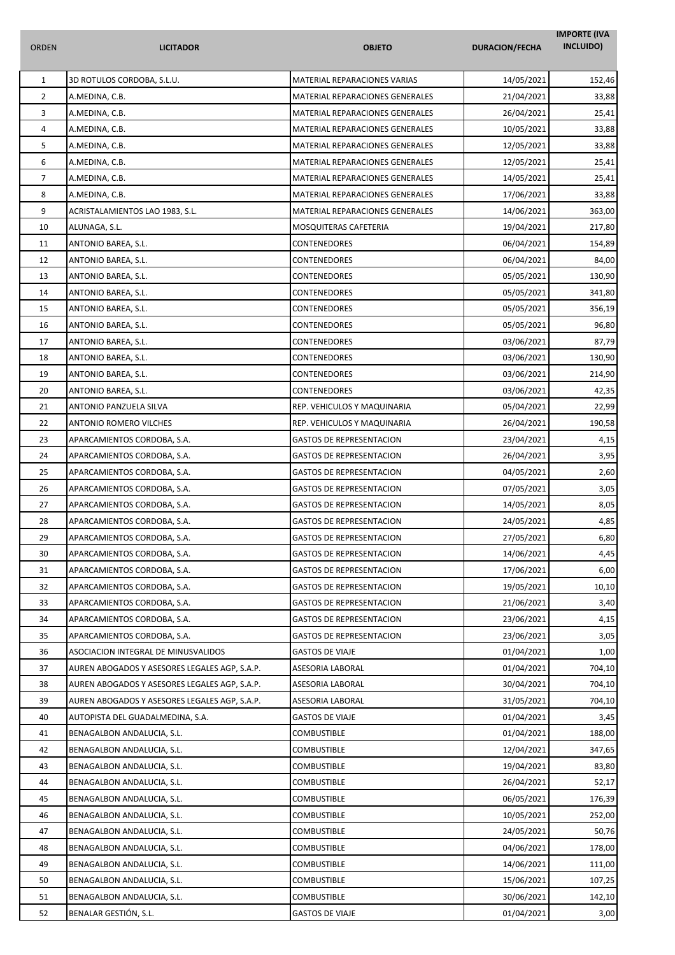| <b>ORDEN</b>   | <b>LICITADOR</b>                              | <b>OBJETO</b>                   | <b>DURACION/FECHA</b> | <b>IMPORTE (IVA</b><br>INCLUIDO) |
|----------------|-----------------------------------------------|---------------------------------|-----------------------|----------------------------------|
| $\mathbf 1$    | 3D ROTULOS CORDOBA, S.L.U.                    | MATERIAL REPARACIONES VARIAS    | 14/05/2021            | 152,46                           |
| $\overline{2}$ | A.MEDINA, C.B.                                | MATERIAL REPARACIONES GENERALES | 21/04/2021            | 33,88                            |
| 3              | A.MEDINA, C.B.                                | MATERIAL REPARACIONES GENERALES | 26/04/2021            | 25,41                            |
| 4              | A.MEDINA, C.B.                                | MATERIAL REPARACIONES GENERALES | 10/05/2021            | 33,88                            |
| 5              | A.MEDINA, C.B.                                | MATERIAL REPARACIONES GENERALES | 12/05/2021            | 33,88                            |
| 6              | A.MEDINA, C.B.                                | MATERIAL REPARACIONES GENERALES | 12/05/2021            | 25,41                            |
| $\overline{7}$ | A.MEDINA, C.B.                                | MATERIAL REPARACIONES GENERALES | 14/05/2021            | 25,41                            |
| 8              | A.MEDINA, C.B.                                | MATERIAL REPARACIONES GENERALES | 17/06/2021            | 33,88                            |
| 9              | ACRISTALAMIENTOS LAO 1983, S.L.               | MATERIAL REPARACIONES GENERALES | 14/06/2021            | 363,00                           |
| 10             | ALUNAGA, S.L.                                 | MOSQUITERAS CAFETERIA           | 19/04/2021            | 217,80                           |
| 11             | ANTONIO BAREA, S.L.                           | CONTENEDORES                    | 06/04/2021            | 154,89                           |
| 12             | ANTONIO BAREA, S.L.                           | CONTENEDORES                    | 06/04/2021            | 84,00                            |
| 13             | ANTONIO BAREA, S.L.                           | <b>CONTENEDORES</b>             | 05/05/2021            | 130,90                           |
| 14             | ANTONIO BAREA, S.L.                           | CONTENEDORES                    | 05/05/2021            | 341,80                           |
| 15             | ANTONIO BAREA, S.L.                           | CONTENEDORES                    | 05/05/2021            | 356,19                           |
| 16             | ANTONIO BAREA, S.L.                           | CONTENEDORES                    | 05/05/2021            | 96,80                            |
| 17             | ANTONIO BAREA, S.L.                           | CONTENEDORES                    | 03/06/2021            | 87,79                            |
| 18             | ANTONIO BAREA, S.L.                           | <b>CONTENEDORES</b>             | 03/06/2021            | 130,90                           |
| 19             | ANTONIO BAREA, S.L.                           | CONTENEDORES                    | 03/06/2021            | 214,90                           |
| 20             | ANTONIO BAREA, S.L.                           | <b>CONTENEDORES</b>             | 03/06/2021            | 42,35                            |
| 21             | ANTONIO PANZUELA SILVA                        | REP. VEHICULOS Y MAQUINARIA     | 05/04/2021            | 22,99                            |
| 22             | ANTONIO ROMERO VILCHES                        | REP. VEHICULOS Y MAQUINARIA     | 26/04/2021            | 190,58                           |
| 23             | APARCAMIENTOS CORDOBA, S.A.                   | <b>GASTOS DE REPRESENTACION</b> | 23/04/2021            | 4,15                             |
| 24             | APARCAMIENTOS CORDOBA, S.A.                   | <b>GASTOS DE REPRESENTACION</b> | 26/04/2021            | 3,95                             |
| 25             | APARCAMIENTOS CORDOBA, S.A.                   | <b>GASTOS DE REPRESENTACION</b> | 04/05/2021            | 2,60                             |
| 26             | APARCAMIENTOS CORDOBA, S.A.                   | <b>GASTOS DE REPRESENTACION</b> | 07/05/2021            | 3,05                             |
| 27             | APARCAMIENTOS CORDOBA, S.A.                   | <b>GASTOS DE REPRESENTACION</b> | 14/05/2021            | 8,05                             |
| 28             | APARCAMIENTOS CORDOBA, S.A.                   | <b>GASTOS DE REPRESENTACION</b> | 24/05/2021            | 4,85                             |
| 29             | APARCAMIENTOS CORDOBA, S.A.                   | <b>GASTOS DE REPRESENTACION</b> | 27/05/2021            | 6,80                             |
| 30             | APARCAMIENTOS CORDOBA, S.A.                   | <b>GASTOS DE REPRESENTACION</b> | 14/06/2021            | 4,45                             |
| 31             | APARCAMIENTOS CORDOBA, S.A.                   | <b>GASTOS DE REPRESENTACION</b> | 17/06/2021            | 6,00                             |
| 32             | APARCAMIENTOS CORDOBA, S.A.                   | <b>GASTOS DE REPRESENTACION</b> | 19/05/2021            | 10,10                            |
| 33             | APARCAMIENTOS CORDOBA, S.A.                   | <b>GASTOS DE REPRESENTACION</b> | 21/06/2021            | 3,40                             |
| 34             | APARCAMIENTOS CORDOBA, S.A.                   | <b>GASTOS DE REPRESENTACION</b> | 23/06/2021            | 4,15                             |
| 35             | APARCAMIENTOS CORDOBA, S.A.                   | <b>GASTOS DE REPRESENTACION</b> | 23/06/2021            | 3,05                             |
| 36             | ASOCIACION INTEGRAL DE MINUSVALIDOS           | <b>GASTOS DE VIAJE</b>          | 01/04/2021            | 1,00                             |
| 37             | AUREN ABOGADOS Y ASESORES LEGALES AGP, S.A.P. | ASESORIA LABORAL                | 01/04/2021            | 704,10                           |
| 38             | AUREN ABOGADOS Y ASESORES LEGALES AGP, S.A.P. | ASESORIA LABORAL                | 30/04/2021            | 704,10                           |
| 39             | AUREN ABOGADOS Y ASESORES LEGALES AGP, S.A.P. | ASESORIA LABORAL                | 31/05/2021            | 704,10                           |
| 40             | AUTOPISTA DEL GUADALMEDINA, S.A.              | <b>GASTOS DE VIAJE</b>          | 01/04/2021            | 3,45                             |
| 41             | BENAGALBON ANDALUCIA, S.L.                    | <b>COMBUSTIBLE</b>              | 01/04/2021            | 188,00                           |
| 42             | BENAGALBON ANDALUCIA, S.L.                    | COMBUSTIBLE                     | 12/04/2021            | 347,65                           |
| 43             | BENAGALBON ANDALUCIA, S.L.                    | COMBUSTIBLE                     | 19/04/2021            | 83,80                            |
| 44             | BENAGALBON ANDALUCIA, S.L.                    | <b>COMBUSTIBLE</b>              | 26/04/2021            | 52,17                            |
| 45             | BENAGALBON ANDALUCIA, S.L.                    | COMBUSTIBLE                     | 06/05/2021            | 176,39                           |
| 46             | BENAGALBON ANDALUCIA, S.L.                    | COMBUSTIBLE                     | 10/05/2021            | 252,00                           |
| 47             | BENAGALBON ANDALUCIA, S.L.                    | COMBUSTIBLE                     | 24/05/2021            | 50,76                            |
| 48             | BENAGALBON ANDALUCIA, S.L.                    | COMBUSTIBLE                     | 04/06/2021            | 178,00                           |
| 49             | BENAGALBON ANDALUCIA, S.L.                    | <b>COMBUSTIBLE</b>              | 14/06/2021            | 111,00                           |
| 50             | BENAGALBON ANDALUCIA, S.L.                    | COMBUSTIBLE                     | 15/06/2021            | 107,25                           |
| 51             | BENAGALBON ANDALUCIA, S.L.                    | <b>COMBUSTIBLE</b>              | 30/06/2021            | 142,10                           |
| 52             | BENALAR GESTIÓN, S.L.                         | <b>GASTOS DE VIAJE</b>          | 01/04/2021            | 3,00                             |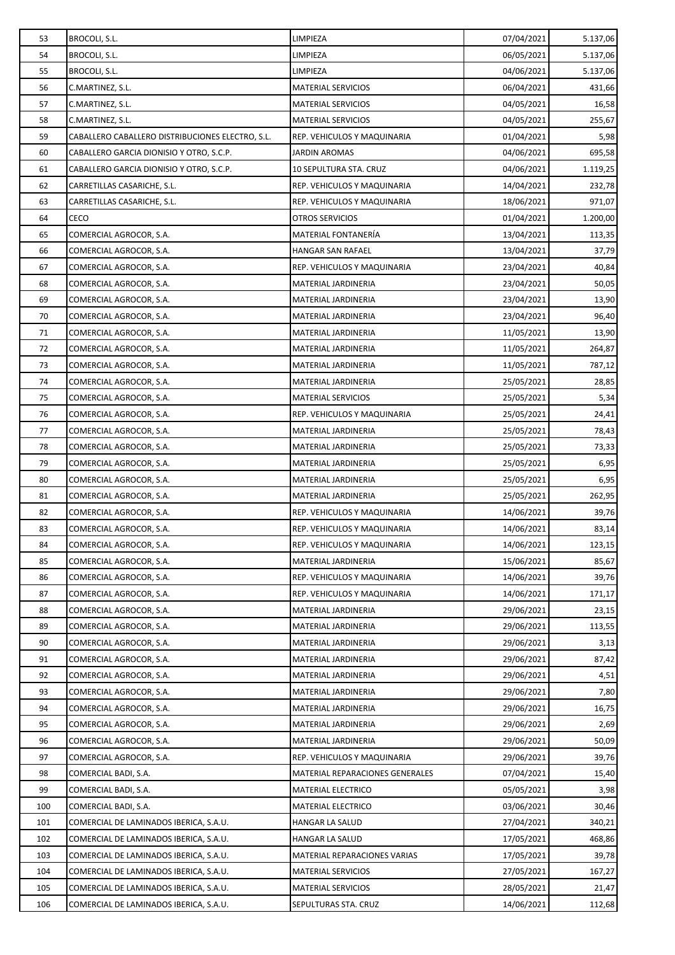| 53         | BROCOLI, S.L.                                                                    | LIMPIEZA                                                  | 07/04/2021               | 5.137,06        |
|------------|----------------------------------------------------------------------------------|-----------------------------------------------------------|--------------------------|-----------------|
| 54         | BROCOLI, S.L.                                                                    | LIMPIEZA                                                  | 06/05/2021               | 5.137,06        |
| 55         | BROCOLI, S.L.                                                                    | LIMPIEZA                                                  | 04/06/2021               | 5.137,06        |
| 56         | C.MARTINEZ, S.L.                                                                 | <b>MATERIAL SERVICIOS</b>                                 | 06/04/2021               | 431,66          |
| 57         | C.MARTINEZ, S.L.                                                                 | <b>MATERIAL SERVICIOS</b>                                 | 04/05/2021               | 16,58           |
| 58         | C.MARTINEZ, S.L.                                                                 | <b>MATERIAL SERVICIOS</b>                                 | 04/05/2021               | 255,67          |
| 59         | CABALLERO CABALLERO DISTRIBUCIONES ELECTRO, S.L.                                 | REP. VEHICULOS Y MAQUINARIA                               | 01/04/2021               | 5,98            |
| 60         | CABALLERO GARCIA DIONISIO Y OTRO, S.C.P.                                         | <b>JARDIN AROMAS</b>                                      | 04/06/2021               | 695,58          |
| 61         | CABALLERO GARCIA DIONISIO Y OTRO, S.C.P.                                         | 10 SEPULTURA STA. CRUZ                                    | 04/06/2021               | 1.119,25        |
| 62         | CARRETILLAS CASARICHE, S.L.                                                      | REP. VEHICULOS Y MAQUINARIA                               | 14/04/2021               | 232,78          |
| 63         | CARRETILLAS CASARICHE, S.L.                                                      | REP. VEHICULOS Y MAQUINARIA                               | 18/06/2021               | 971,07          |
| 64         | CECO                                                                             | <b>OTROS SERVICIOS</b>                                    | 01/04/2021               | 1.200,00        |
| 65         | COMERCIAL AGROCOR, S.A.                                                          | MATERIAL FONTANERÍA                                       | 13/04/2021               | 113,35          |
| 66         | COMERCIAL AGROCOR, S.A.                                                          | HANGAR SAN RAFAEL                                         | 13/04/2021               | 37,79           |
| 67         | COMERCIAL AGROCOR, S.A.                                                          | REP. VEHICULOS Y MAQUINARIA                               | 23/04/2021               | 40,84           |
| 68         | COMERCIAL AGROCOR, S.A.                                                          | MATERIAL JARDINERIA                                       | 23/04/2021               | 50,05           |
| 69         | COMERCIAL AGROCOR, S.A.                                                          | MATERIAL JARDINERIA                                       | 23/04/2021               | 13,90           |
| 70         | COMERCIAL AGROCOR, S.A.                                                          | MATERIAL JARDINERIA                                       | 23/04/2021               | 96,40           |
| 71         | COMERCIAL AGROCOR, S.A.                                                          | MATERIAL JARDINERIA                                       | 11/05/2021               | 13,90           |
| 72         | COMERCIAL AGROCOR, S.A.                                                          | MATERIAL JARDINERIA                                       | 11/05/2021               | 264,87          |
| 73         | COMERCIAL AGROCOR, S.A.                                                          | MATERIAL JARDINERIA                                       | 11/05/2021               | 787,12          |
| 74         | COMERCIAL AGROCOR, S.A.                                                          | MATERIAL JARDINERIA                                       | 25/05/2021               | 28,85           |
| 75         | COMERCIAL AGROCOR, S.A.                                                          | <b>MATERIAL SERVICIOS</b>                                 | 25/05/2021               | 5,34            |
| 76         | COMERCIAL AGROCOR, S.A.                                                          | REP. VEHICULOS Y MAQUINARIA                               | 25/05/2021               | 24,41           |
| 77         | COMERCIAL AGROCOR, S.A.                                                          | MATERIAL JARDINERIA                                       | 25/05/2021               | 78,43           |
| 78         | COMERCIAL AGROCOR, S.A.                                                          | MATERIAL JARDINERIA                                       | 25/05/2021               | 73,33           |
| 79         | COMERCIAL AGROCOR, S.A.                                                          | MATERIAL JARDINERIA                                       | 25/05/2021               | 6,95            |
| 80         | COMERCIAL AGROCOR, S.A.                                                          | MATERIAL JARDINERIA                                       | 25/05/2021               | 6,95            |
| 81         | COMERCIAL AGROCOR, S.A.                                                          | MATERIAL JARDINERIA                                       | 25/05/2021               | 262,95          |
| 82         | COMERCIAL AGROCOR, S.A.                                                          | REP. VEHICULOS Y MAQUINARIA                               | 14/06/2021               | 39,76           |
| 83         | COMERCIAL AGROCOR, S.A.                                                          | REP. VEHICULOS Y MAQUINARIA                               | 14/06/2021               | 83,14           |
| 84         | COMERCIAL AGROCOR, S.A.                                                          | REP. VEHICULOS Y MAQUINARIA                               | 14/06/2021               | 123,15          |
| 85         | COMERCIAL AGROCOR, S.A.                                                          | MATERIAL JARDINERIA                                       | 15/06/2021               | 85,67           |
| 86         | COMERCIAL AGROCOR, S.A.                                                          | REP. VEHICULOS Y MAQUINARIA                               | 14/06/2021               | 39,76           |
| 87         | COMERCIAL AGROCOR, S.A.                                                          | REP. VEHICULOS Y MAQUINARIA                               | 14/06/2021               | 171,17          |
| 88         | COMERCIAL AGROCOR, S.A.                                                          | MATERIAL JARDINERIA                                       | 29/06/2021               | 23,15           |
| 89         | COMERCIAL AGROCOR, S.A.                                                          | MATERIAL JARDINERIA                                       | 29/06/2021               | 113,55          |
| 90         | COMERCIAL AGROCOR, S.A.                                                          | MATERIAL JARDINERIA                                       | 29/06/2021               | 3,13            |
| 91         | COMERCIAL AGROCOR, S.A.                                                          | MATERIAL JARDINERIA                                       | 29/06/2021               | 87,42           |
| 92         | COMERCIAL AGROCOR, S.A.                                                          | MATERIAL JARDINERIA                                       | 29/06/2021               | 4,51            |
| 93         | COMERCIAL AGROCOR, S.A.                                                          | MATERIAL JARDINERIA                                       | 29/06/2021               | 7,80            |
| 94         | COMERCIAL AGROCOR, S.A.                                                          | MATERIAL JARDINERIA                                       | 29/06/2021               | 16,75           |
| 95         | COMERCIAL AGROCOR, S.A.                                                          | MATERIAL JARDINERIA                                       | 29/06/2021               | 2,69            |
| 96         | COMERCIAL AGROCOR, S.A.                                                          | MATERIAL JARDINERIA                                       | 29/06/2021               | 50,09           |
| 97         | COMERCIAL AGROCOR, S.A.                                                          | REP. VEHICULOS Y MAQUINARIA                               | 29/06/2021               | 39,76           |
| 98         | COMERCIAL BADI, S.A.                                                             | MATERIAL REPARACIONES GENERALES                           | 07/04/2021               | 15,40           |
| 99         | COMERCIAL BADI, S.A.                                                             | <b>MATERIAL ELECTRICO</b>                                 | 05/05/2021               | 3,98            |
| 100        | COMERCIAL BADI, S.A.                                                             | <b>MATERIAL ELECTRICO</b>                                 | 03/06/2021               | 30,46           |
| 101        | COMERCIAL DE LAMINADOS IBERICA, S.A.U.                                           | HANGAR LA SALUD                                           | 27/04/2021               | 340,21          |
| 102        | COMERCIAL DE LAMINADOS IBERICA, S.A.U.                                           | HANGAR LA SALUD                                           | 17/05/2021               | 468,86          |
| 103<br>104 | COMERCIAL DE LAMINADOS IBERICA, S.A.U.<br>COMERCIAL DE LAMINADOS IBERICA, S.A.U. | MATERIAL REPARACIONES VARIAS<br><b>MATERIAL SERVICIOS</b> | 17/05/2021<br>27/05/2021 | 39,78           |
| 105        | COMERCIAL DE LAMINADOS IBERICA, S.A.U.                                           | <b>MATERIAL SERVICIOS</b>                                 | 28/05/2021               | 167,27<br>21,47 |
| 106        | COMERCIAL DE LAMINADOS IBERICA, S.A.U.                                           | SEPULTURAS STA. CRUZ                                      | 14/06/2021               | 112,68          |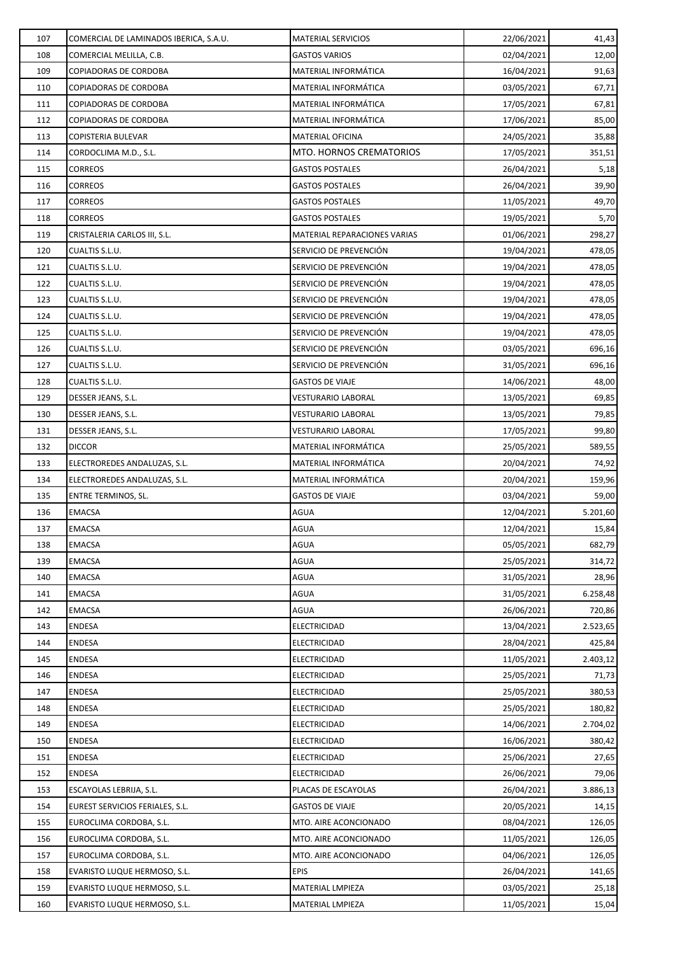| 107 | COMERCIAL DE LAMINADOS IBERICA, S.A.U. | <b>MATERIAL SERVICIOS</b>    | 22/06/2021 | 41,43    |
|-----|----------------------------------------|------------------------------|------------|----------|
| 108 | COMERCIAL MELILLA, C.B.                | <b>GASTOS VARIOS</b>         | 02/04/2021 | 12,00    |
| 109 | COPIADORAS DE CORDOBA                  | MATERIAL INFORMÁTICA         | 16/04/2021 | 91,63    |
| 110 | COPIADORAS DE CORDOBA                  | MATERIAL INFORMÁTICA         | 03/05/2021 | 67,71    |
| 111 | COPIADORAS DE CORDOBA                  | MATERIAL INFORMÁTICA         | 17/05/2021 | 67,81    |
| 112 | COPIADORAS DE CORDOBA                  | MATERIAL INFORMÁTICA         | 17/06/2021 | 85,00    |
| 113 | COPISTERIA BULEVAR                     | MATERIAL OFICINA             | 24/05/2021 | 35,88    |
| 114 | CORDOCLIMA M.D., S.L.                  | MTO. HORNOS CREMATORIOS      | 17/05/2021 | 351,51   |
| 115 | CORREOS                                | <b>GASTOS POSTALES</b>       | 26/04/2021 | 5,18     |
| 116 | <b>CORREOS</b>                         | <b>GASTOS POSTALES</b>       | 26/04/2021 | 39,90    |
| 117 | CORREOS                                | <b>GASTOS POSTALES</b>       | 11/05/2021 | 49,70    |
| 118 | CORREOS                                | <b>GASTOS POSTALES</b>       | 19/05/2021 | 5,70     |
| 119 | CRISTALERIA CARLOS III, S.L.           | MATERIAL REPARACIONES VARIAS | 01/06/2021 | 298,27   |
| 120 | CUALTIS S.L.U.                         | SERVICIO DE PREVENCIÓN       | 19/04/2021 | 478,05   |
| 121 | CUALTIS S.L.U.                         | SERVICIO DE PREVENCIÓN       | 19/04/2021 | 478,05   |
| 122 | CUALTIS S.L.U.                         | SERVICIO DE PREVENCIÓN       | 19/04/2021 | 478,05   |
| 123 | CUALTIS S.L.U.                         | SERVICIO DE PREVENCIÓN       | 19/04/2021 | 478,05   |
| 124 | CUALTIS S.L.U.                         | SERVICIO DE PREVENCIÓN       | 19/04/2021 | 478,05   |
| 125 | CUALTIS S.L.U.                         | SERVICIO DE PREVENCIÓN       | 19/04/2021 | 478,05   |
| 126 | CUALTIS S.L.U.                         | SERVICIO DE PREVENCIÓN       | 03/05/2021 | 696,16   |
| 127 | CUALTIS S.L.U.                         | SERVICIO DE PREVENCIÓN       | 31/05/2021 | 696,16   |
| 128 | CUALTIS S.L.U.                         | <b>GASTOS DE VIAJE</b>       | 14/06/2021 | 48,00    |
| 129 | DESSER JEANS, S.L.                     | <b>VESTURARIO LABORAL</b>    | 13/05/2021 | 69,85    |
| 130 | DESSER JEANS, S.L.                     | <b>VESTURARIO LABORAL</b>    | 13/05/2021 | 79,85    |
| 131 | DESSER JEANS, S.L.                     | <b>VESTURARIO LABORAL</b>    | 17/05/2021 | 99,80    |
| 132 | DICCOR                                 | MATERIAL INFORMÁTICA         | 25/05/2021 | 589,55   |
| 133 | ELECTROREDES ANDALUZAS, S.L.           | MATERIAL INFORMÁTICA         | 20/04/2021 | 74,92    |
| 134 | ELECTROREDES ANDALUZAS, S.L.           | MATERIAL INFORMÁTICA         | 20/04/2021 | 159,96   |
| 135 | ENTRE TERMINOS, SL.                    | <b>GASTOS DE VIAJE</b>       | 03/04/2021 | 59,00    |
| 136 | EMACSA                                 | AGUA                         | 12/04/2021 | 5.201,60 |
| 137 | EMACSA                                 | AGUA                         | 12/04/2021 | 15,84    |
| 138 | <b>EMACSA</b>                          | <b>AGUA</b>                  | 05/05/2021 | 682,79   |
| 139 | EMACSA                                 | <b>AGUA</b>                  | 25/05/2021 | 314,72   |
| 140 | EMACSA                                 | AGUA                         | 31/05/2021 | 28,96    |
| 141 | <b>EMACSA</b>                          | AGUA                         | 31/05/2021 | 6.258,48 |
| 142 | EMACSA                                 | AGUA                         | 26/06/2021 | 720,86   |
| 143 | <b>ENDESA</b>                          | ELECTRICIDAD                 | 13/04/2021 | 2.523,65 |
| 144 | <b>ENDESA</b>                          | ELECTRICIDAD                 | 28/04/2021 | 425,84   |
| 145 | ENDESA                                 | ELECTRICIDAD                 | 11/05/2021 | 2.403,12 |
| 146 | <b>ENDESA</b>                          | ELECTRICIDAD                 | 25/05/2021 | 71,73    |
| 147 | ENDESA                                 | ELECTRICIDAD                 | 25/05/2021 | 380,53   |
| 148 | <b>ENDESA</b>                          | ELECTRICIDAD                 | 25/05/2021 | 180,82   |
| 149 | <b>ENDESA</b>                          | ELECTRICIDAD                 | 14/06/2021 | 2.704,02 |
| 150 | ENDESA                                 | ELECTRICIDAD                 | 16/06/2021 | 380,42   |
| 151 | <b>ENDESA</b>                          | ELECTRICIDAD                 | 25/06/2021 | 27,65    |
| 152 | ENDESA                                 | ELECTRICIDAD                 | 26/06/2021 | 79,06    |
| 153 | ESCAYOLAS LEBRIJA, S.L.                | PLACAS DE ESCAYOLAS          | 26/04/2021 | 3.886,13 |
| 154 | EUREST SERVICIOS FERIALES, S.L.        | <b>GASTOS DE VIAJE</b>       | 20/05/2021 | 14,15    |
| 155 | EUROCLIMA CORDOBA, S.L.                | MTO. AIRE ACONCIONADO        | 08/04/2021 | 126,05   |
| 156 | EUROCLIMA CORDOBA, S.L.                | MTO. AIRE ACONCIONADO        | 11/05/2021 | 126,05   |
| 157 | EUROCLIMA CORDOBA, S.L.                | MTO. AIRE ACONCIONADO        | 04/06/2021 | 126,05   |
| 158 | EVARISTO LUQUE HERMOSO, S.L.           | <b>EPIS</b>                  | 26/04/2021 | 141,65   |
| 159 | EVARISTO LUQUE HERMOSO, S.L.           | MATERIAL LMPIEZA             | 03/05/2021 | 25,18    |
| 160 | EVARISTO LUQUE HERMOSO, S.L.           | MATERIAL LMPIEZA             | 11/05/2021 | 15,04    |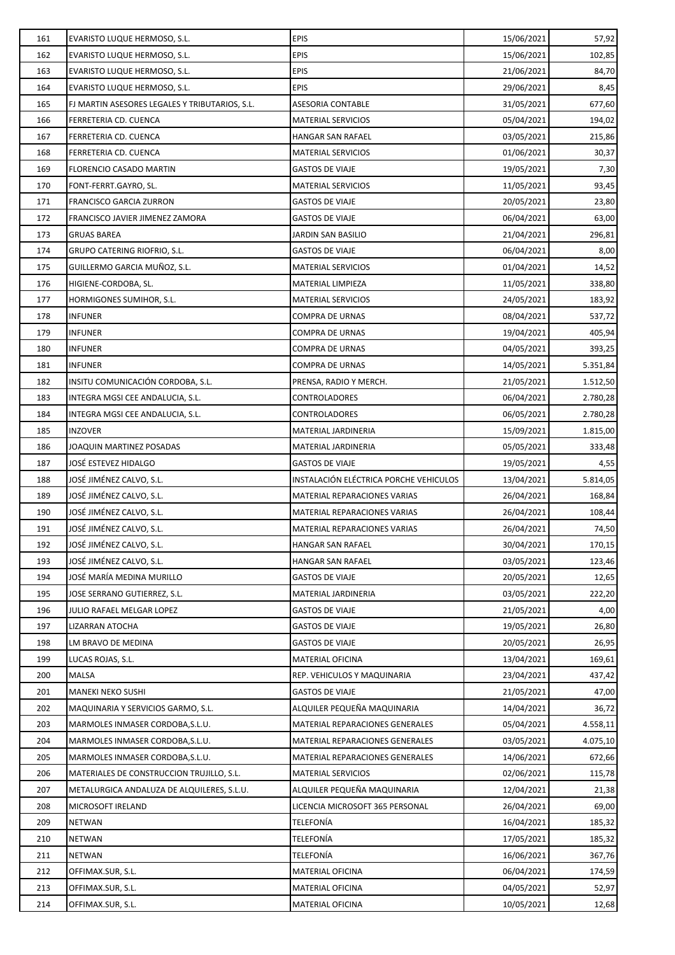| 161 | EVARISTO LUQUE HERMOSO, S.L.                   | <b>EPIS</b>                            | 15/06/2021 | 57,92    |
|-----|------------------------------------------------|----------------------------------------|------------|----------|
| 162 | EVARISTO LUQUE HERMOSO, S.L.                   | <b>EPIS</b>                            | 15/06/2021 | 102,85   |
| 163 | EVARISTO LUQUE HERMOSO, S.L.                   | <b>EPIS</b>                            | 21/06/2021 | 84,70    |
| 164 | EVARISTO LUQUE HERMOSO, S.L.                   | <b>EPIS</b>                            | 29/06/2021 | 8,45     |
| 165 | FJ MARTIN ASESORES LEGALES Y TRIBUTARIOS, S.L. | <b>ASESORIA CONTABLE</b>               | 31/05/2021 | 677,60   |
| 166 | FERRETERIA CD. CUENCA                          | <b>MATERIAL SERVICIOS</b>              | 05/04/2021 | 194,02   |
| 167 | FERRETERIA CD. CUENCA                          | HANGAR SAN RAFAEL                      | 03/05/2021 | 215,86   |
| 168 | FERRETERIA CD. CUENCA                          | <b>MATERIAL SERVICIOS</b>              | 01/06/2021 | 30,37    |
| 169 | FLORENCIO CASADO MARTIN                        | <b>GASTOS DE VIAJE</b>                 | 19/05/2021 | 7,30     |
| 170 | FONT-FERRT.GAYRO, SL.                          | <b>MATERIAL SERVICIOS</b>              | 11/05/2021 | 93,45    |
| 171 | FRANCISCO GARCIA ZURRON                        | GASTOS DE VIAJE                        | 20/05/2021 | 23,80    |
| 172 | FRANCISCO JAVIER JIMENEZ ZAMORA                | <b>GASTOS DE VIAJE</b>                 | 06/04/2021 | 63,00    |
| 173 | <b>GRUAS BAREA</b>                             | JARDIN SAN BASILIO                     | 21/04/2021 | 296,81   |
| 174 | GRUPO CATERING RIOFRIO, S.L.                   | <b>GASTOS DE VIAJE</b>                 | 06/04/2021 | 8,00     |
| 175 | GUILLERMO GARCIA MUÑOZ, S.L.                   | <b>MATERIAL SERVICIOS</b>              | 01/04/2021 | 14,52    |
| 176 | HIGIENE-CORDOBA, SL.                           | MATERIAL LIMPIEZA                      | 11/05/2021 | 338,80   |
| 177 | HORMIGONES SUMIHOR, S.L.                       | <b>MATERIAL SERVICIOS</b>              | 24/05/2021 | 183,92   |
| 178 | INFUNER                                        | COMPRA DE URNAS                        | 08/04/2021 | 537,72   |
| 179 | <b>INFUNER</b>                                 | COMPRA DE URNAS                        | 19/04/2021 | 405,94   |
| 180 | <b>INFUNER</b>                                 | <b>COMPRA DE URNAS</b>                 | 04/05/2021 | 393,25   |
| 181 | <b>INFUNER</b>                                 | COMPRA DE URNAS                        | 14/05/2021 | 5.351,84 |
| 182 | INSITU COMUNICACIÓN CORDOBA, S.L.              | PRENSA, RADIO Y MERCH.                 | 21/05/2021 | 1.512,50 |
| 183 | INTEGRA MGSI CEE ANDALUCIA, S.L.               | CONTROLADORES                          | 06/04/2021 | 2.780,28 |
| 184 | INTEGRA MGSI CEE ANDALUCIA, S.L.               | CONTROLADORES                          | 06/05/2021 | 2.780,28 |
| 185 | <b>INZOVER</b>                                 | MATERIAL JARDINERIA                    | 15/09/2021 | 1.815,00 |
| 186 | JOAQUIN MARTINEZ POSADAS                       | MATERIAL JARDINERIA                    | 05/05/2021 | 333,48   |
| 187 | JOSÉ ESTEVEZ HIDALGO                           | <b>GASTOS DE VIAJE</b>                 | 19/05/2021 | 4,55     |
| 188 | JOSÉ JIMÉNEZ CALVO, S.L.                       | INSTALACIÓN ELÉCTRICA PORCHE VEHICULOS | 13/04/2021 | 5.814,05 |
| 189 | JOSÉ JIMÉNEZ CALVO, S.L.                       | MATERIAL REPARACIONES VARIAS           | 26/04/2021 | 168,84   |
| 190 | JOSÉ JIMÉNEZ CALVO, S.L.                       | MATERIAL REPARACIONES VARIAS           | 26/04/2021 | 108,44   |
| 191 | JOSÉ JIMÉNEZ CALVO, S.L.                       | MATERIAL REPARACIONES VARIAS           | 26/04/2021 | 74,50    |
| 192 | JOSÉ JIMÉNEZ CALVO, S.L.                       | HANGAR SAN RAFAEL                      | 30/04/2021 | 170,15   |
| 193 | JOSÉ JIMÉNEZ CALVO, S.L.                       | HANGAR SAN RAFAEL                      | 03/05/2021 | 123,46   |
| 194 | JOSÉ MARÍA MEDINA MURILLO                      | <b>GASTOS DE VIAJE</b>                 | 20/05/2021 | 12,65    |
| 195 | JOSE SERRANO GUTIERREZ, S.L.                   | MATERIAL JARDINERIA                    | 03/05/2021 | 222,20   |
| 196 | JULIO RAFAEL MELGAR LOPEZ                      | <b>GASTOS DE VIAJE</b>                 | 21/05/2021 | 4,00     |
| 197 | LIZARRAN ATOCHA                                | <b>GASTOS DE VIAJE</b>                 | 19/05/2021 | 26,80    |
| 198 | LM BRAVO DE MEDINA                             | <b>GASTOS DE VIAJE</b>                 | 20/05/2021 | 26,95    |
| 199 | LUCAS ROJAS, S.L.                              | MATERIAL OFICINA                       | 13/04/2021 | 169,61   |
| 200 | MALSA                                          | REP. VEHICULOS Y MAQUINARIA            | 23/04/2021 | 437,42   |
| 201 | MANEKI NEKO SUSHI                              | <b>GASTOS DE VIAJE</b>                 | 21/05/2021 | 47,00    |
| 202 | MAQUINARIA Y SERVICIOS GARMO, S.L.             | ALQUILER PEQUEÑA MAQUINARIA            | 14/04/2021 | 36,72    |
| 203 | MARMOLES INMASER CORDOBA, S.L.U.               | MATERIAL REPARACIONES GENERALES        | 05/04/2021 | 4.558,11 |
| 204 | MARMOLES INMASER CORDOBA, S.L.U.               | MATERIAL REPARACIONES GENERALES        | 03/05/2021 | 4.075,10 |
| 205 | MARMOLES INMASER CORDOBA, S.L.U.               | MATERIAL REPARACIONES GENERALES        | 14/06/2021 | 672,66   |
| 206 | MATERIALES DE CONSTRUCCION TRUJILLO, S.L.      | <b>MATERIAL SERVICIOS</b>              | 02/06/2021 | 115,78   |
| 207 | METALURGICA ANDALUZA DE ALQUILERES, S.L.U.     | ALQUILER PEQUEÑA MAQUINARIA            | 12/04/2021 | 21,38    |
| 208 | MICROSOFT IRELAND                              | LICENCIA MICROSOFT 365 PERSONAL        | 26/04/2021 | 69,00    |
| 209 | NETWAN                                         | <b>TELEFONÍA</b>                       | 16/04/2021 | 185,32   |
| 210 | <b>NETWAN</b>                                  | <b>TELEFONÍA</b>                       | 17/05/2021 | 185,32   |
| 211 | NETWAN                                         | TELEFONÍA                              | 16/06/2021 | 367,76   |
| 212 | OFFIMAX.SUR, S.L.                              | <b>MATERIAL OFICINA</b>                | 06/04/2021 | 174,59   |
| 213 | OFFIMAX.SUR, S.L.                              | MATERIAL OFICINA                       | 04/05/2021 | 52,97    |
| 214 | OFFIMAX.SUR, S.L.                              | MATERIAL OFICINA                       | 10/05/2021 | 12,68    |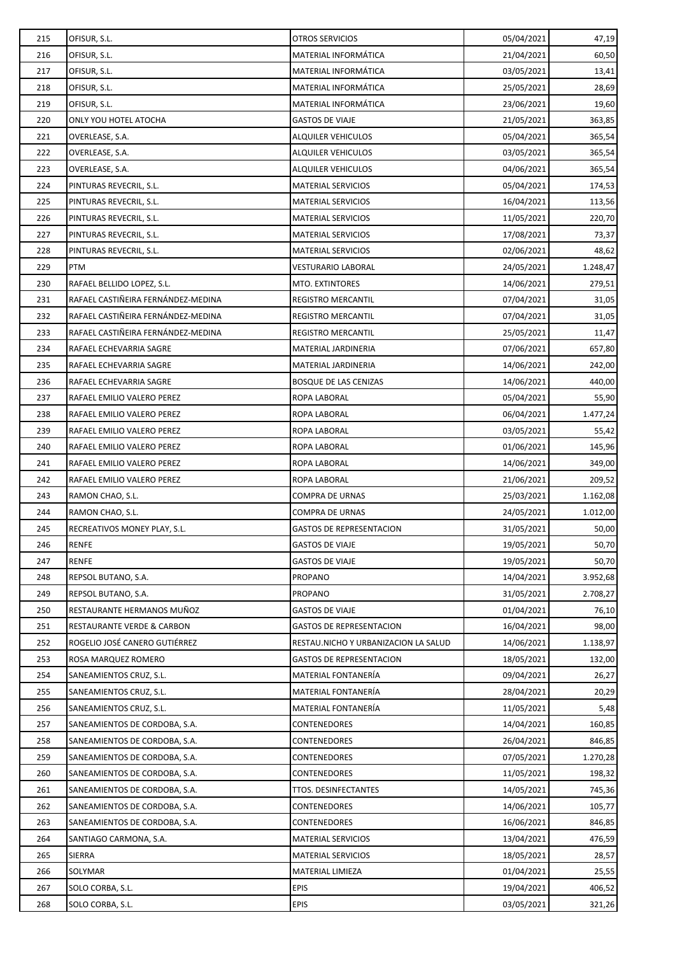| 215 | OFISUR, S.L.                       | <b>OTROS SERVICIOS</b>               | 05/04/2021 | 47,19    |
|-----|------------------------------------|--------------------------------------|------------|----------|
| 216 | OFISUR, S.L.                       | MATERIAL INFORMÁTICA                 | 21/04/2021 | 60,50    |
| 217 | OFISUR, S.L.                       | MATERIAL INFORMÁTICA                 | 03/05/2021 | 13,41    |
| 218 | OFISUR, S.L.                       | MATERIAL INFORMÁTICA                 | 25/05/2021 | 28,69    |
| 219 | OFISUR, S.L.                       | MATERIAL INFORMÁTICA                 | 23/06/2021 | 19,60    |
| 220 | ONLY YOU HOTEL ATOCHA              | <b>GASTOS DE VIAJE</b>               | 21/05/2021 | 363,85   |
| 221 | OVERLEASE, S.A.                    | ALQUILER VEHICULOS                   | 05/04/2021 | 365,54   |
| 222 | OVERLEASE, S.A.                    | <b>ALQUILER VEHICULOS</b>            | 03/05/2021 | 365,54   |
| 223 | OVERLEASE, S.A.                    | <b>ALQUILER VEHICULOS</b>            | 04/06/2021 | 365,54   |
| 224 | PINTURAS REVECRIL, S.L.            | <b>MATERIAL SERVICIOS</b>            | 05/04/2021 | 174,53   |
| 225 | PINTURAS REVECRIL, S.L.            | <b>MATERIAL SERVICIOS</b>            | 16/04/2021 | 113,56   |
| 226 | PINTURAS REVECRIL, S.L.            | <b>MATERIAL SERVICIOS</b>            | 11/05/2021 | 220,70   |
| 227 | PINTURAS REVECRIL, S.L.            | <b>MATERIAL SERVICIOS</b>            | 17/08/2021 | 73,37    |
| 228 | PINTURAS REVECRIL, S.L.            | <b>MATERIAL SERVICIOS</b>            | 02/06/2021 | 48,62    |
| 229 | PTM                                | <b>VESTURARIO LABORAL</b>            | 24/05/2021 | 1.248,47 |
| 230 | RAFAEL BELLIDO LOPEZ, S.L.         | MTO. EXTINTORES                      | 14/06/2021 | 279,51   |
| 231 | RAFAEL CASTIÑEIRA FERNÁNDEZ-MEDINA | REGISTRO MERCANTIL                   | 07/04/2021 | 31,05    |
| 232 | RAFAEL CASTIÑEIRA FERNÁNDEZ-MEDINA | <b>REGISTRO MERCANTIL</b>            | 07/04/2021 | 31,05    |
| 233 | RAFAEL CASTIÑEIRA FERNÁNDEZ-MEDINA | REGISTRO MERCANTIL                   | 25/05/2021 | 11,47    |
| 234 | RAFAEL ECHEVARRIA SAGRE            | MATERIAL JARDINERIA                  | 07/06/2021 | 657,80   |
| 235 | RAFAEL ECHEVARRIA SAGRE            | MATERIAL JARDINERIA                  | 14/06/2021 | 242,00   |
| 236 | RAFAEL ECHEVARRIA SAGRE            | <b>BOSQUE DE LAS CENIZAS</b>         | 14/06/2021 | 440,00   |
| 237 | RAFAEL EMILIO VALERO PEREZ         | ROPA LABORAL                         | 05/04/2021 | 55,90    |
| 238 | RAFAEL EMILIO VALERO PEREZ         | ROPA LABORAL                         | 06/04/2021 | 1.477,24 |
| 239 | RAFAEL EMILIO VALERO PEREZ         | ROPA LABORAL                         | 03/05/2021 | 55,42    |
| 240 | RAFAEL EMILIO VALERO PEREZ         | ROPA LABORAL                         | 01/06/2021 | 145,96   |
| 241 | RAFAEL EMILIO VALERO PEREZ         | ROPA LABORAL                         | 14/06/2021 | 349,00   |
| 242 | RAFAEL EMILIO VALERO PEREZ         | ROPA LABORAL                         | 21/06/2021 | 209,52   |
| 243 | RAMON CHAO, S.L.                   | COMPRA DE URNAS                      | 25/03/2021 | 1.162,08 |
| 244 | RAMON CHAO, S.L.                   | COMPRA DE URNAS                      | 24/05/2021 | 1.012,00 |
| 245 | RECREATIVOS MONEY PLAY, S.L.       | <b>GASTOS DE REPRESENTACION</b>      | 31/05/2021 | 50,00    |
| 246 | RENFE                              | <b>GASTOS DE VIAJE</b>               | 19/05/2021 | 50,70    |
| 247 | <b>RENFE</b>                       | <b>GASTOS DE VIAJE</b>               | 19/05/2021 | 50,70    |
| 248 | REPSOL BUTANO, S.A.                | PROPANO                              | 14/04/2021 | 3.952,68 |
| 249 | REPSOL BUTANO, S.A.                | PROPANO                              | 31/05/2021 | 2.708,27 |
| 250 | RESTAURANTE HERMANOS MUÑOZ         | <b>GASTOS DE VIAJE</b>               | 01/04/2021 | 76,10    |
| 251 | RESTAURANTE VERDE & CARBON         | <b>GASTOS DE REPRESENTACION</b>      | 16/04/2021 | 98,00    |
| 252 | ROGELIO JOSÉ CANERO GUTIÉRREZ      | RESTAU.NICHO Y URBANIZACION LA SALUD | 14/06/2021 | 1.138,97 |
| 253 | ROSA MARQUEZ ROMERO                | <b>GASTOS DE REPRESENTACION</b>      | 18/05/2021 | 132,00   |
| 254 | SANEAMIENTOS CRUZ, S.L.            | MATERIAL FONTANERÍA                  | 09/04/2021 | 26,27    |
| 255 | SANEAMIENTOS CRUZ, S.L.            | MATERIAL FONTANERÍA                  | 28/04/2021 | 20,29    |
| 256 | SANEAMIENTOS CRUZ, S.L.            | MATERIAL FONTANERÍA                  | 11/05/2021 | 5,48     |
| 257 | SANEAMIENTOS DE CORDOBA, S.A.      | <b>CONTENEDORES</b>                  | 14/04/2021 | 160,85   |
| 258 | SANEAMIENTOS DE CORDOBA, S.A.      | <b>CONTENEDORES</b>                  | 26/04/2021 | 846,85   |
| 259 | SANEAMIENTOS DE CORDOBA, S.A.      | <b>CONTENEDORES</b>                  | 07/05/2021 | 1.270,28 |
| 260 | SANEAMIENTOS DE CORDOBA, S.A.      | CONTENEDORES                         | 11/05/2021 | 198,32   |
| 261 | SANEAMIENTOS DE CORDOBA, S.A.      | TTOS. DESINFECTANTES                 | 14/05/2021 | 745,36   |
| 262 | SANEAMIENTOS DE CORDOBA, S.A.      | <b>CONTENEDORES</b>                  | 14/06/2021 | 105,77   |
| 263 | SANEAMIENTOS DE CORDOBA, S.A.      | <b>CONTENEDORES</b>                  | 16/06/2021 | 846,85   |
| 264 | SANTIAGO CARMONA, S.A.             | <b>MATERIAL SERVICIOS</b>            | 13/04/2021 | 476,59   |
| 265 | SIERRA                             | <b>MATERIAL SERVICIOS</b>            | 18/05/2021 | 28,57    |
| 266 | SOLYMAR                            | MATERIAL LIMIEZA                     | 01/04/2021 | 25,55    |
| 267 | SOLO CORBA, S.L.                   | <b>EPIS</b>                          | 19/04/2021 | 406,52   |
| 268 | SOLO CORBA, S.L.                   | <b>EPIS</b>                          | 03/05/2021 | 321,26   |